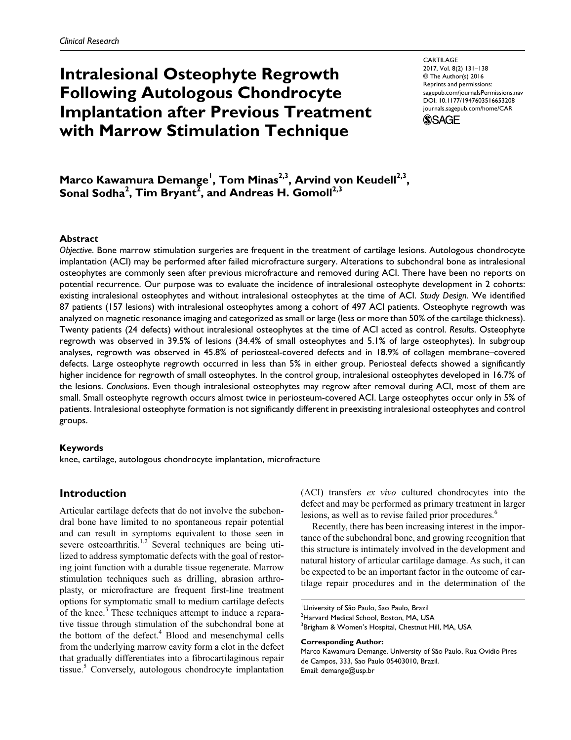# **Intralesional Osteophyte Regrowth Following Autologous Chondrocyte Implantation after Previous Treatment with Marrow Stimulation Technique**

CARTILAGE 2017, Vol. 8(2) 131–138 © The Author(s) 2016 Reprints and permissions: [sagepub.com/journalsPermissions.nav](http://sagepub.com/journalsPermissions.nav) DOI: [10.1177/1947603516653208](http://doi.org/10.1177/1947603516653208) journals.sagepub.com/home/CAR

**SSAGE** 

**Marco Kawamura Demange<sup>1</sup>, Tom Minas<sup>2,3</sup>, Arvind von Keudell<sup>2,3</sup>,** Sonal Sodha<sup>2</sup>, Tim Bryant<sup>2</sup>, and Andreas H. Gomoll<sup>2,3</sup>

### **Abstract**

*Objective*. Bone marrow stimulation surgeries are frequent in the treatment of cartilage lesions. Autologous chondrocyte implantation (ACI) may be performed after failed microfracture surgery. Alterations to subchondral bone as intralesional osteophytes are commonly seen after previous microfracture and removed during ACI. There have been no reports on potential recurrence. Our purpose was to evaluate the incidence of intralesional osteophyte development in 2 cohorts: existing intralesional osteophytes and without intralesional osteophytes at the time of ACI. *Study Design*. We identified 87 patients (157 lesions) with intralesional osteophytes among a cohort of 497 ACI patients. Osteophyte regrowth was analyzed on magnetic resonance imaging and categorized as small or large (less or more than 50% of the cartilage thickness). Twenty patients (24 defects) without intralesional osteophytes at the time of ACI acted as control. *Results*. Osteophyte regrowth was observed in 39.5% of lesions (34.4% of small osteophytes and 5.1% of large osteophytes). In subgroup analyses, regrowth was observed in 45.8% of periosteal-covered defects and in 18.9% of collagen membrane–covered defects. Large osteophyte regrowth occurred in less than 5% in either group. Periosteal defects showed a significantly higher incidence for regrowth of small osteophytes. In the control group, intralesional osteophytes developed in 16.7% of the lesions. *Conclusions*. Even though intralesional osteophytes may regrow after removal during ACI, most of them are small. Small osteophyte regrowth occurs almost twice in periosteum-covered ACI. Large osteophytes occur only in 5% of patients. Intralesional osteophyte formation is not significantly different in preexisting intralesional osteophytes and control groups.

#### **Keywords**

knee, cartilage, autologous chondrocyte implantation, microfracture

## **Introduction**

Articular cartilage defects that do not involve the subchondral bone have limited to no spontaneous repair potential and can result in symptoms equivalent to those seen in severe osteoarthritis.<sup>1,2</sup> Several techniques are being utilized to address symptomatic defects with the goal of restoring joint function with a durable tissue regenerate. Marrow stimulation techniques such as drilling, abrasion arthroplasty, or microfracture are frequent first-line treatment options for symptomatic small to medium cartilage defects of the knee.<sup>3</sup> These techniques attempt to induce a reparative tissue through stimulation of the subchondral bone at the bottom of the defect.<sup>4</sup> Blood and mesenchymal cells from the underlying marrow cavity form a clot in the defect that gradually differentiates into a fibrocartilaginous repair tissue.<sup>5</sup> Conversely, autologous chondrocyte implantation (ACI) transfers *ex vivo* cultured chondrocytes into the defect and may be performed as primary treatment in larger lesions, as well as to revise failed prior procedures.<sup>6</sup>

Recently, there has been increasing interest in the importance of the subchondral bone, and growing recognition that this structure is intimately involved in the development and natural history of articular cartilage damage. As such, it can be expected to be an important factor in the outcome of cartilage repair procedures and in the determination of the

#### **Corresponding Author:**

<sup>1</sup> University of São Paulo, Sao Paulo, Brazil  $^{2}$ Harvard Medical School, Boston, MA, USA <sup>3</sup>Brigham & Women's Hospital, Chestnut Hill, MA, USA

Marco Kawamura Demange, University of São Paulo, Rua Ovidio Pires de Campos, 333, Sao Paulo 05403010, Brazil. Email: [demange@usp.br](mailto:demange@usp.br)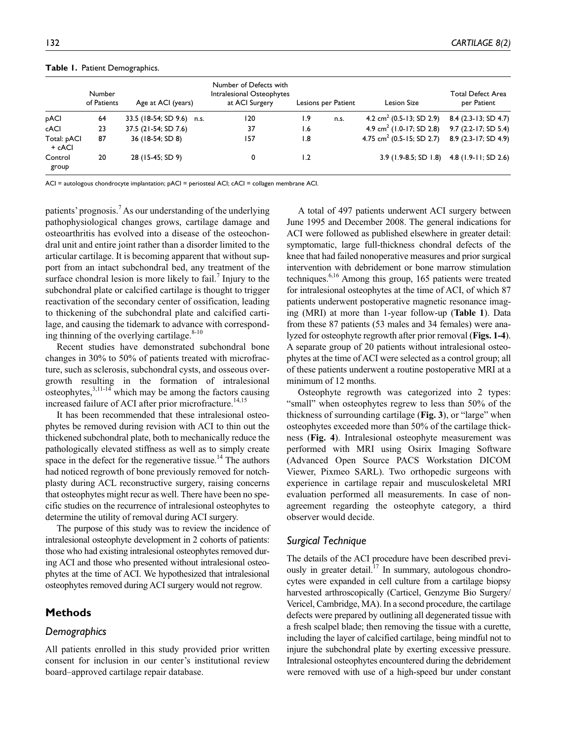|                       | Number<br>of Patients | Age at ACI (years)        | Number of Defects with<br>Intralesional Osteophytes<br>at ACI Surgery |                  | Lesions per Patient | <b>Lesion Size</b>                         | Total Defect Area<br>per Patient |
|-----------------------|-----------------------|---------------------------|-----------------------------------------------------------------------|------------------|---------------------|--------------------------------------------|----------------------------------|
| pACI                  | 64                    | 33.5 (18-54; SD 9.6) n.s. | 120                                                                   | 1.9              | n.s.                | 4.2 cm <sup>2</sup> (0.5-13; SD 2.9)       | 8.4 (2.3-13; SD 4.7)             |
| cACI                  | 23                    | 37.5 (21-54; SD 7.6)      | 37                                                                    | 6. ا             |                     | 4.9 cm <sup>2</sup> (1.0-17; SD 2.8)       | $9.7$ (2.2-17; SD 5.4)           |
| Total: pACI<br>+ cACI | 87                    | 36 (18-54; SD 8)          | 157                                                                   | $\overline{1.8}$ |                     | 4.75 cm <sup>2</sup> (0.5-15; SD 2.7)      | 8.9 (2.3-17; SD 4.9)             |
| Control<br>group      | 20                    | 28 (15-45; SD 9)          | 0                                                                     | 1.2              |                     | 3.9 (1.9-8.5; SD 1.8) 4.8 (1.9-11; SD 2.6) |                                  |

#### **Table 1.** Patient Demographics.

ACI = autologous chondrocyte implantation; pACI = periosteal ACI; cACI = collagen membrane ACI.

patients' prognosis.<sup>7</sup> As our understanding of the underlying pathophysiological changes grows, cartilage damage and osteoarthritis has evolved into a disease of the osteochondral unit and entire joint rather than a disorder limited to the articular cartilage. It is becoming apparent that without support from an intact subchondral bed, any treatment of the surface chondral lesion is more likely to fail.<sup>7</sup> Injury to the subchondral plate or calcified cartilage is thought to trigger reactivation of the secondary center of ossification, leading to thickening of the subchondral plate and calcified cartilage, and causing the tidemark to advance with corresponding thinning of the overlying cartilage.<sup>8-10</sup>

Recent studies have demonstrated subchondral bone changes in 30% to 50% of patients treated with microfracture, such as sclerosis, subchondral cysts, and osseous overgrowth resulting in the formation of intralesional osteophytes, $3,11-14$  which may be among the factors causing increased failure of ACI after prior microfracture.<sup>14,15</sup>

It has been recommended that these intralesional osteophytes be removed during revision with ACI to thin out the thickened subchondral plate, both to mechanically reduce the pathologically elevated stiffness as well as to simply create space in the defect for the regenerative tissue.<sup>14</sup> The authors had noticed regrowth of bone previously removed for notchplasty during ACL reconstructive surgery, raising concerns that osteophytes might recur as well. There have been no specific studies on the recurrence of intralesional osteophytes to determine the utility of removal during ACI surgery.

The purpose of this study was to review the incidence of intralesional osteophyte development in 2 cohorts of patients: those who had existing intralesional osteophytes removed during ACI and those who presented without intralesional osteophytes at the time of ACI. We hypothesized that intralesional osteophytes removed during ACI surgery would not regrow.

## **Methods**

## *Demographics*

All patients enrolled in this study provided prior written consent for inclusion in our center's institutional review board–approved cartilage repair database.

A total of 497 patients underwent ACI surgery between June 1995 and December 2008. The general indications for ACI were followed as published elsewhere in greater detail: symptomatic, large full-thickness chondral defects of the knee that had failed nonoperative measures and prior surgical intervention with debridement or bone marrow stimulation techniques.<sup>6,16</sup> Among this group, 165 patients were treated for intralesional osteophytes at the time of ACI, of which 87 patients underwent postoperative magnetic resonance imaging (MRI) at more than 1-year follow-up (**Table 1**). Data from these 87 patients (53 males and 34 females) were analyzed for osteophyte regrowth after prior removal (**Figs. 1-4**). A separate group of 20 patients without intralesional osteophytes at the time of ACI were selected as a control group; all of these patients underwent a routine postoperative MRI at a minimum of 12 months.

Osteophyte regrowth was categorized into 2 types: "small" when osteophytes regrew to less than 50% of the thickness of surrounding cartilage (**Fig. 3**), or "large" when osteophytes exceeded more than 50% of the cartilage thickness (**Fig. 4**). Intralesional osteophyte measurement was performed with MRI using Osirix Imaging Software (Advanced Open Source PACS Workstation DICOM Viewer, Pixmeo SARL). Two orthopedic surgeons with experience in cartilage repair and musculoskeletal MRI evaluation performed all measurements. In case of nonagreement regarding the osteophyte category, a third observer would decide.

## *Surgical Technique*

The details of the ACI procedure have been described previously in greater detail.<sup>17</sup> In summary, autologous chondrocytes were expanded in cell culture from a cartilage biopsy harvested arthroscopically (Carticel, Genzyme Bio Surgery/ Vericel, Cambridge, MA). In a second procedure, the cartilage defects were prepared by outlining all degenerated tissue with a fresh scalpel blade; then removing the tissue with a curette, including the layer of calcified cartilage, being mindful not to injure the subchondral plate by exerting excessive pressure. Intralesional osteophytes encountered during the debridement were removed with use of a high-speed bur under constant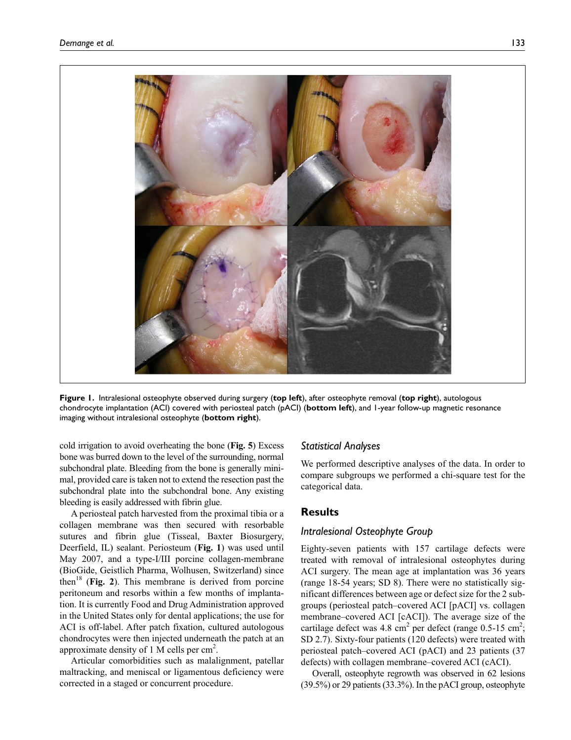

**Figure 1.** Intralesional osteophyte observed during surgery (**top left**), after osteophyte removal (**top right**), autologous chondrocyte implantation (ACI) covered with periosteal patch (pACI) (**bottom left**), and 1-year follow-up magnetic resonance imaging without intralesional osteophyte (**bottom right**).

cold irrigation to avoid overheating the bone (**Fig. 5**) Excess bone was burred down to the level of the surrounding, normal subchondral plate. Bleeding from the bone is generally minimal, provided care is taken not to extend the resection past the subchondral plate into the subchondral bone. Any existing bleeding is easily addressed with fibrin glue.

A periosteal patch harvested from the proximal tibia or a collagen membrane was then secured with resorbable sutures and fibrin glue (Tisseal, Baxter Biosurgery, Deerfield, IL) sealant. Periosteum (**Fig. 1**) was used until May 2007, and a type-I/III porcine collagen-membrane (BioGide, Geistlich Pharma, Wolhusen, Switzerland) since then<sup>18</sup> (**Fig. 2**). This membrane is derived from porcine peritoneum and resorbs within a few months of implantation. It is currently Food and Drug Administration approved in the United States only for dental applications; the use for ACI is off-label. After patch fixation, cultured autologous chondrocytes were then injected underneath the patch at an approximate density of 1 M cells per  $\text{cm}^2$ .

Articular comorbidities such as malalignment, patellar maltracking, and meniscal or ligamentous deficiency were corrected in a staged or concurrent procedure.

## *Statistical Analyses*

We performed descriptive analyses of the data. In order to compare subgroups we performed a chi-square test for the categorical data.

## **Results**

## *Intralesional Osteophyte Group*

Eighty-seven patients with 157 cartilage defects were treated with removal of intralesional osteophytes during ACI surgery. The mean age at implantation was 36 years (range 18-54 years; SD 8). There were no statistically significant differences between age or defect size for the 2 subgroups (periosteal patch–covered ACI [pACI] vs. collagen membrane–covered ACI [cACI]). The average size of the cartilage defect was 4.8 cm<sup>2</sup> per defect (range  $0.5$ -15 cm<sup>2</sup>; SD 2.7). Sixty-four patients (120 defects) were treated with periosteal patch–covered ACI (pACI) and 23 patients (37 defects) with collagen membrane–covered ACI (cACI).

Overall, osteophyte regrowth was observed in 62 lesions (39.5%) or 29 patients (33.3%). In the pACI group, osteophyte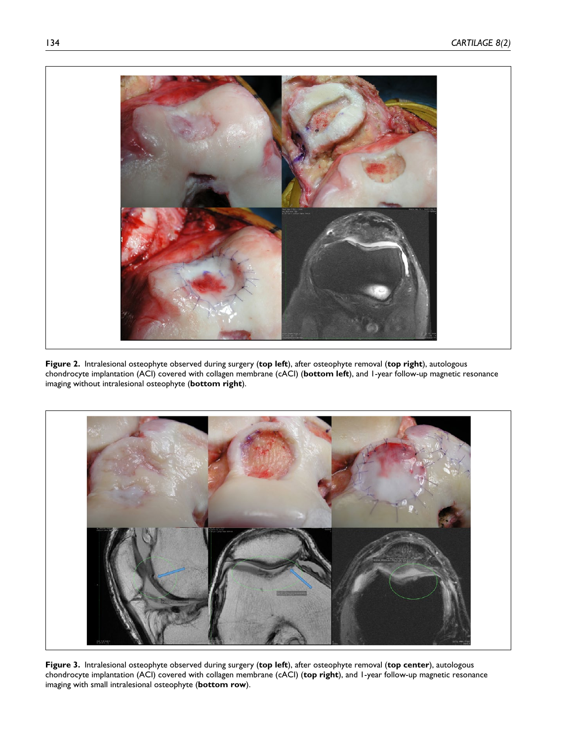

**Figure 2.** Intralesional osteophyte observed during surgery (**top left**), after osteophyte removal (**top right**), autologous chondrocyte implantation (ACI) covered with collagen membrane (cACI) (**bottom left**), and 1-year follow-up magnetic resonance imaging without intralesional osteophyte (**bottom right**).



**Figure 3.** Intralesional osteophyte observed during surgery (**top left**), after osteophyte removal (**top center**), autologous chondrocyte implantation (ACI) covered with collagen membrane (cACI) (**top right**), and 1-year follow-up magnetic resonance imaging with small intralesional osteophyte (**bottom row**).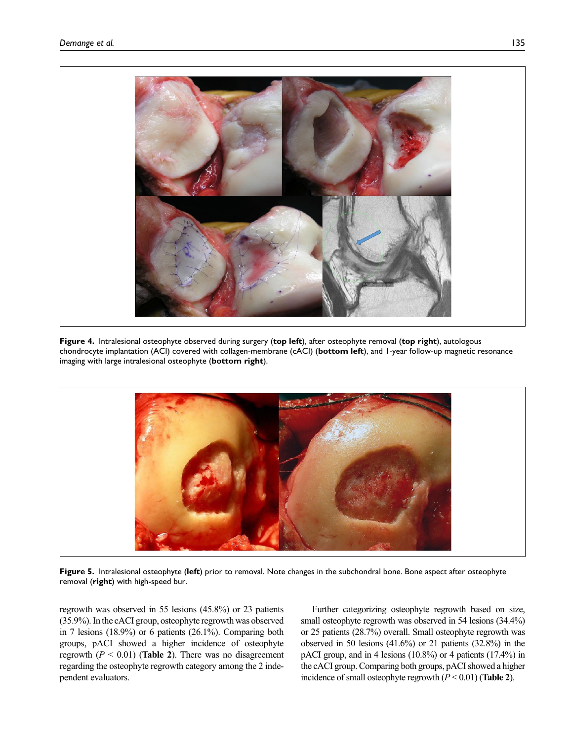

**Figure 4.** Intralesional osteophyte observed during surgery (**top left**), after osteophyte removal (**top right**), autologous chondrocyte implantation (ACI) covered with collagen-membrane (cACI) (**bottom left**), and 1-year follow-up magnetic resonance imaging with large intralesional osteophyte (**bottom right**).



**Figure 5.** Intralesional osteophyte (**left**) prior to removal. Note changes in the subchondral bone. Bone aspect after osteophyte removal (**right**) with high-speed bur.

regrowth was observed in 55 lesions (45.8%) or 23 patients (35.9%). In the cACI group, osteophyte regrowth was observed in 7 lesions (18.9%) or 6 patients (26.1%). Comparing both groups, pACI showed a higher incidence of osteophyte regrowth  $(P < 0.01)$  (**Table 2**). There was no disagreement regarding the osteophyte regrowth category among the 2 independent evaluators.

Further categorizing osteophyte regrowth based on size, small osteophyte regrowth was observed in 54 lesions  $(34.4\%)$ or 25 patients (28.7%) overall. Small osteophyte regrowth was observed in 50 lesions (41.6%) or 21 patients (32.8%) in the pACI group, and in 4 lesions (10.8%) or 4 patients (17.4%) in the cACI group. Comparing both groups, pACI showed a higher incidence of small osteophyte regrowth (*P* < 0.01) (**Table 2**).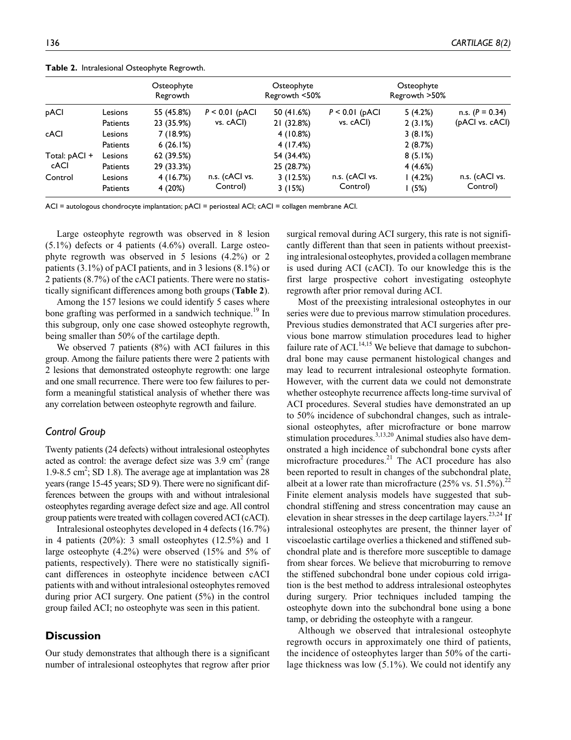|                 |                 | Osteophyte<br>Regrowth |                  | Osteophyte<br>Regrowth <50% |                  | Osteophyte<br>Regrowth >50% |                   |
|-----------------|-----------------|------------------------|------------------|-----------------------------|------------------|-----------------------------|-------------------|
| pACI            | Lesions         | 55 (45.8%)             | $P < 0.01$ (pACI | 50 (41.6%)                  | $P < 0.01$ (pACI | 5(4.2%)                     | n.s. $(P = 0.34)$ |
|                 | <b>Patients</b> | 23 (35.9%)             | vs. cACI)        | 21 (32.8%)                  | vs. cACI)        | 2(3.1%)                     | (pACI vs. cACI)   |
| cACI            | Lesions         | 7 (18.9%)              |                  | 4(10.8%)                    |                  | 3(8.1%)                     |                   |
|                 | <b>Patients</b> | 6(26.1%)               |                  | 4 (17.4%)                   |                  | 2(8.7%)                     |                   |
| Total: $pACI +$ | Lesions         | 62 (39.5%)             |                  | 54 (34.4%)                  |                  | 8(5.1%)                     |                   |
| cACI            | <b>Patients</b> | 29 (33.3%)             |                  | 25 (28.7%)                  |                  | 4(4.6%)                     |                   |
| Control         | Lesions         | 4 (16.7%)              | n.s. (cACI vs.   | 3(12.5%)                    | n.s. (cACI vs.   | (4.2%)                      | n.s. (cACI vs.    |
|                 | Patients        | 4 (20%)                | Control)         | 3(15%)                      | Control)         | l (5%)                      | Control)          |

**Table 2.** Intralesional Osteophyte Regrowth.

ACI = autologous chondrocyte implantation; pACI = periosteal ACI; cACI = collagen membrane ACI.

Large osteophyte regrowth was observed in 8 lesion  $(5.1\%)$  defects or 4 patients  $(4.6\%)$  overall. Large osteophyte regrowth was observed in 5 lesions (4.2%) or 2 patients (3.1%) of pACI patients, and in 3 lesions (8.1%) or 2 patients (8.7%) of the cACI patients. There were no statistically significant differences among both groups (**Table 2**).

Among the 157 lesions we could identify 5 cases where bone grafting was performed in a sandwich technique.<sup>19</sup> In this subgroup, only one case showed osteophyte regrowth, being smaller than 50% of the cartilage depth.

We observed 7 patients (8%) with ACI failures in this group. Among the failure patients there were 2 patients with 2 lesions that demonstrated osteophyte regrowth: one large and one small recurrence. There were too few failures to perform a meaningful statistical analysis of whether there was any correlation between osteophyte regrowth and failure.

## *Control Group*

Twenty patients (24 defects) without intralesional osteophytes acted as control: the average defect size was  $3.9 \text{ cm}^2$  (range 1.9-8.5 cm<sup>2</sup>; SD 1.8). The average age at implantation was  $28$ years (range 15-45 years; SD 9). There were no significant differences between the groups with and without intralesional osteophytes regarding average defect size and age. All control group patients were treated with collagen covered ACI (cACI).

Intralesional osteophytes developed in 4 defects (16.7%) in 4 patients (20%): 3 small osteophytes (12.5%) and 1 large osteophyte (4.2%) were observed (15% and 5% of patients, respectively). There were no statistically significant differences in osteophyte incidence between cACI patients with and without intralesional osteophytes removed during prior ACI surgery. One patient (5%) in the control group failed ACI; no osteophyte was seen in this patient.

## **Discussion**

Our study demonstrates that although there is a significant number of intralesional osteophytes that regrow after prior

surgical removal during ACI surgery, this rate is not significantly different than that seen in patients without preexisting intralesional osteophytes, provided a collagen membrane is used during ACI (cACI). To our knowledge this is the first large prospective cohort investigating osteophyte regrowth after prior removal during ACI.

Most of the preexisting intralesional osteophytes in our series were due to previous marrow stimulation procedures. Previous studies demonstrated that ACI surgeries after previous bone marrow stimulation procedures lead to higher failure rate of ACI.<sup>14,15</sup> We believe that damage to subchondral bone may cause permanent histological changes and may lead to recurrent intralesional osteophyte formation. However, with the current data we could not demonstrate whether osteophyte recurrence affects long-time survival of ACI procedures. Several studies have demonstrated an up to 50% incidence of subchondral changes, such as intralesional osteophytes, after microfracture or bone marrow stimulation procedures.<sup>3,13,20</sup> Animal studies also have demonstrated a high incidence of subchondral bone cysts after microfracture procedures. $^{21}$  The ACI procedure has also been reported to result in changes of the subchondral plate, albeit at a lower rate than microfracture  $(25\% \text{ vs. } 51.5\%)$ .<sup>22</sup> Finite element analysis models have suggested that subchondral stiffening and stress concentration may cause an elevation in shear stresses in the deep cartilage layers.<sup>23,24</sup> If intralesional osteophytes are present, the thinner layer of viscoelastic cartilage overlies a thickened and stiffened subchondral plate and is therefore more susceptible to damage from shear forces. We believe that microburring to remove the stiffened subchondral bone under copious cold irrigation is the best method to address intralesional osteophytes during surgery. Prior techniques included tamping the osteophyte down into the subchondral bone using a bone tamp, or debriding the osteophyte with a rangeur.

Although we observed that intralesional osteophyte regrowth occurs in approximately one third of patients, the incidence of osteophytes larger than 50% of the cartilage thickness was low (5.1%). We could not identify any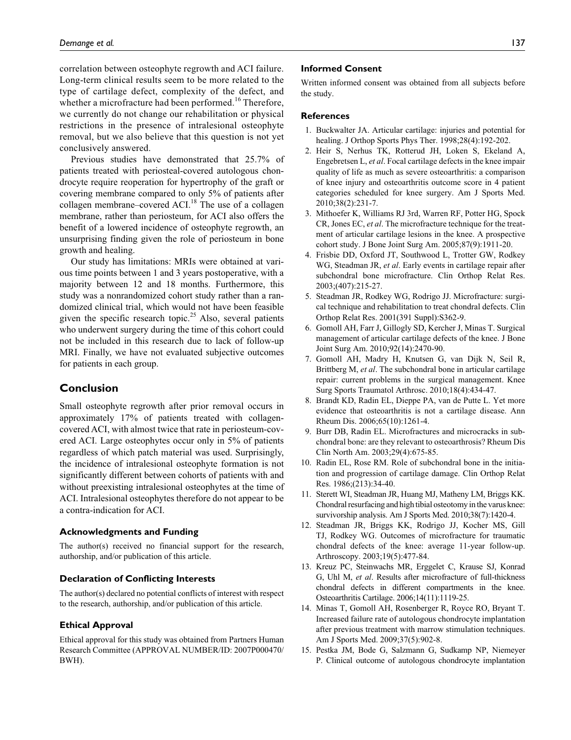correlation between osteophyte regrowth and ACI failure. Long-term clinical results seem to be more related to the type of cartilage defect, complexity of the defect, and whether a microfracture had been performed.<sup>16</sup> Therefore, we currently do not change our rehabilitation or physical restrictions in the presence of intralesional osteophyte removal, but we also believe that this question is not yet conclusively answered.

Previous studies have demonstrated that 25.7% of patients treated with periosteal-covered autologous chondrocyte require reoperation for hypertrophy of the graft or covering membrane compared to only 5% of patients after collagen membrane–covered ACI.<sup>18</sup> The use of a collagen membrane, rather than periosteum, for ACI also offers the benefit of a lowered incidence of osteophyte regrowth, an unsurprising finding given the role of periosteum in bone growth and healing.

Our study has limitations: MRIs were obtained at various time points between 1 and 3 years postoperative, with a majority between 12 and 18 months. Furthermore, this study was a nonrandomized cohort study rather than a randomized clinical trial, which would not have been feasible given the specific research topic.<sup>25</sup> Also, several patients who underwent surgery during the time of this cohort could not be included in this research due to lack of follow-up MRI. Finally, we have not evaluated subjective outcomes for patients in each group.

## **Conclusion**

Small osteophyte regrowth after prior removal occurs in approximately 17% of patients treated with collagencovered ACI, with almost twice that rate in periosteum-covered ACI. Large osteophytes occur only in 5% of patients regardless of which patch material was used. Surprisingly, the incidence of intralesional osteophyte formation is not significantly different between cohorts of patients with and without preexisting intralesional osteophytes at the time of ACI. Intralesional osteophytes therefore do not appear to be a contra-indication for ACI.

#### **Acknowledgments and Funding**

The author(s) received no financial support for the research, authorship, and/or publication of this article.

#### **Declaration of Conflicting Interests**

The author(s) declared no potential conflicts of interest with respect to the research, authorship, and/or publication of this article.

#### **Ethical Approval**

Ethical approval for this study was obtained from Partners Human Research Committee (APPROVAL NUMBER/ID: 2007P000470/ BWH).

#### **Informed Consent**

Written informed consent was obtained from all subjects before the study.

### **References**

- 1. Buckwalter JA. Articular cartilage: injuries and potential for healing. J Orthop Sports Phys Ther. 1998;28(4):192-202.
- 2. Heir S, Nerhus TK, Rotterud JH, Loken S, Ekeland A, Engebretsen L, *et al*. Focal cartilage defects in the knee impair quality of life as much as severe osteoarthritis: a comparison of knee injury and osteoarthritis outcome score in 4 patient categories scheduled for knee surgery. Am J Sports Med. 2010;38(2):231-7.
- 3. Mithoefer K, Williams RJ 3rd, Warren RF, Potter HG, Spock CR, Jones EC, *et al*. The microfracture technique for the treatment of articular cartilage lesions in the knee. A prospective cohort study. J Bone Joint Surg Am. 2005;87(9):1911-20.
- 4. Frisbie DD, Oxford JT, Southwood L, Trotter GW, Rodkey WG, Steadman JR, *et al*. Early events in cartilage repair after subchondral bone microfracture. Clin Orthop Relat Res. 2003;(407):215-27.
- 5. Steadman JR, Rodkey WG, Rodrigo JJ. Microfracture: surgical technique and rehabilitation to treat chondral defects. Clin Orthop Relat Res. 2001(391 Suppl):S362-9.
- 6. Gomoll AH, Farr J, Gillogly SD, Kercher J, Minas T. Surgical management of articular cartilage defects of the knee. J Bone Joint Surg Am. 2010;92(14):2470-90.
- 7. Gomoll AH, Madry H, Knutsen G, van Dijk N, Seil R, Brittberg M, *et al*. The subchondral bone in articular cartilage repair: current problems in the surgical management. Knee Surg Sports Traumatol Arthrosc. 2010;18(4):434-47.
- 8. Brandt KD, Radin EL, Dieppe PA, van de Putte L. Yet more evidence that osteoarthritis is not a cartilage disease. Ann Rheum Dis. 2006;65(10):1261-4.
- 9. Burr DB, Radin EL. Microfractures and microcracks in subchondral bone: are they relevant to osteoarthrosis? Rheum Dis Clin North Am. 2003;29(4):675-85.
- 10. Radin EL, Rose RM. Role of subchondral bone in the initiation and progression of cartilage damage. Clin Orthop Relat Res. 1986;(213):34-40.
- 11. Sterett WI, Steadman JR, Huang MJ, Matheny LM, Briggs KK. Chondral resurfacing and high tibial osteotomy in the varus knee: survivorship analysis. Am J Sports Med. 2010;38(7):1420-4.
- 12. Steadman JR, Briggs KK, Rodrigo JJ, Kocher MS, Gill TJ, Rodkey WG. Outcomes of microfracture for traumatic chondral defects of the knee: average 11-year follow-up. Arthroscopy. 2003;19(5):477-84.
- 13. Kreuz PC, Steinwachs MR, Erggelet C, Krause SJ, Konrad G, Uhl M, *et al*. Results after microfracture of full-thickness chondral defects in different compartments in the knee. Osteoarthritis Cartilage. 2006;14(11):1119-25.
- 14. Minas T, Gomoll AH, Rosenberger R, Royce RO, Bryant T. Increased failure rate of autologous chondrocyte implantation after previous treatment with marrow stimulation techniques. Am J Sports Med. 2009;37(5):902-8.
- 15. Pestka JM, Bode G, Salzmann G, Sudkamp NP, Niemeyer P. Clinical outcome of autologous chondrocyte implantation